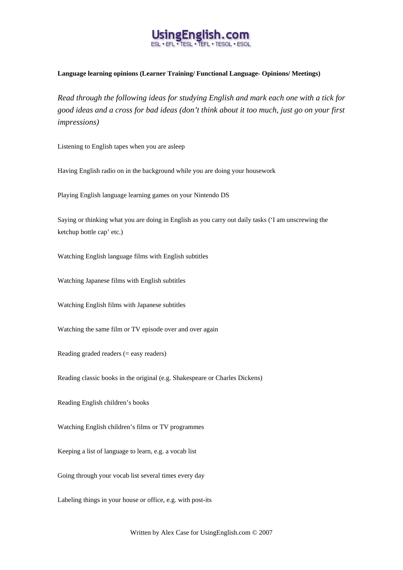

## **Language learning opinions (Learner Training/ Functional Language- Opinions/ Meetings)**

*Read through the following ideas for studying English and mark each one with a tick for good ideas and a cross for bad ideas (don't think about it too much, just go on your first impressions)* 

Listening to English tapes when you are asleep

Having English radio on in the background while you are doing your housework

Playing English language learning games on your Nintendo DS

Saying or thinking what you are doing in English as you carry out daily tasks ('I am unscrewing the ketchup bottle cap' etc.)

Watching English language films with English subtitles

Watching Japanese films with English subtitles

Watching English films with Japanese subtitles

Watching the same film or TV episode over and over again

Reading graded readers (= easy readers)

Reading classic books in the original (e.g. Shakespeare or Charles Dickens)

Reading English children's books

Watching English children's films or TV programmes

Keeping a list of language to learn, e.g. a vocab list

Going through your vocab list several times every day

Labeling things in your house or office, e.g. with post-its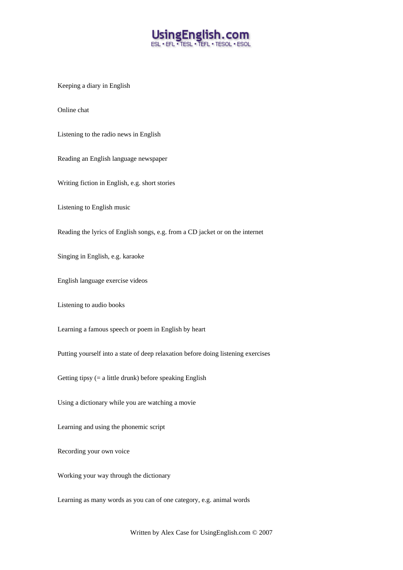

Keeping a diary in English

Online chat

Listening to the radio news in English

Reading an English language newspaper

Writing fiction in English, e.g. short stories

Listening to English music

Reading the lyrics of English songs, e.g. from a CD jacket or on the internet

Singing in English, e.g. karaoke

English language exercise videos

Listening to audio books

Learning a famous speech or poem in English by heart

Putting yourself into a state of deep relaxation before doing listening exercises

Getting tipsy  $(= a$  little drunk) before speaking English

Using a dictionary while you are watching a movie

Learning and using the phonemic script

Recording your own voice

Working your way through the dictionary

Learning as many words as you can of one category, e.g. animal words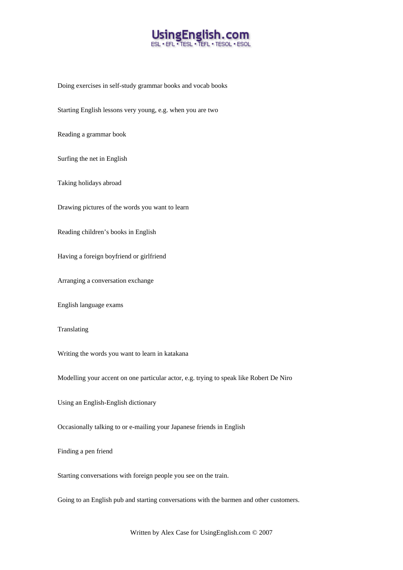

Doing exercises in self-study grammar books and vocab books

Starting English lessons very young, e.g. when you are two

Reading a grammar book

Surfing the net in English

Taking holidays abroad

Drawing pictures of the words you want to learn

Reading children's books in English

Having a foreign boyfriend or girlfriend

Arranging a conversation exchange

English language exams

Translating

Writing the words you want to learn in katakana

Modelling your accent on one particular actor, e.g. trying to speak like Robert De Niro

Using an English-English dictionary

Occasionally talking to or e-mailing your Japanese friends in English

Finding a pen friend

Starting conversations with foreign people you see on the train.

Going to an English pub and starting conversations with the barmen and other customers.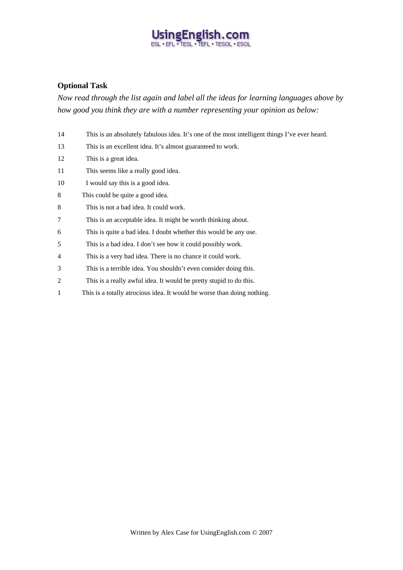## Using English.com

## **Optional Task**

*Now read through the list again and label all the ideas for learning languages above by how good you think they are with a number representing your opinion as below:* 

| 14             | This is an absolutely fabulous idea. It's one of the most intelligent things I've ever heard. |
|----------------|-----------------------------------------------------------------------------------------------|
| 13             | This is an excellent idea. It's almost guaranteed to work.                                    |
| 12             | This is a great idea.                                                                         |
| 11             | This seems like a really good idea.                                                           |
| 10             | I would say this is a good idea.                                                              |
| 8              | This could be quite a good idea.                                                              |
| 8              | This is not a bad idea. It could work.                                                        |
| 7              | This is an acceptable idea. It might be worth thinking about.                                 |
| 6              | This is quite a bad idea. I doubt whether this would be any use.                              |
| 5              | This is a bad idea. I don't see how it could possibly work.                                   |
| 4              | This is a very bad idea. There is no chance it could work.                                    |
| 3              | This is a terrible idea. You shouldn't even consider doing this.                              |
| $\overline{c}$ | This is a really awful idea. It would be pretty stupid to do this.                            |
| 1              | This is a totally atrocious idea. It would be worse than doing nothing.                       |